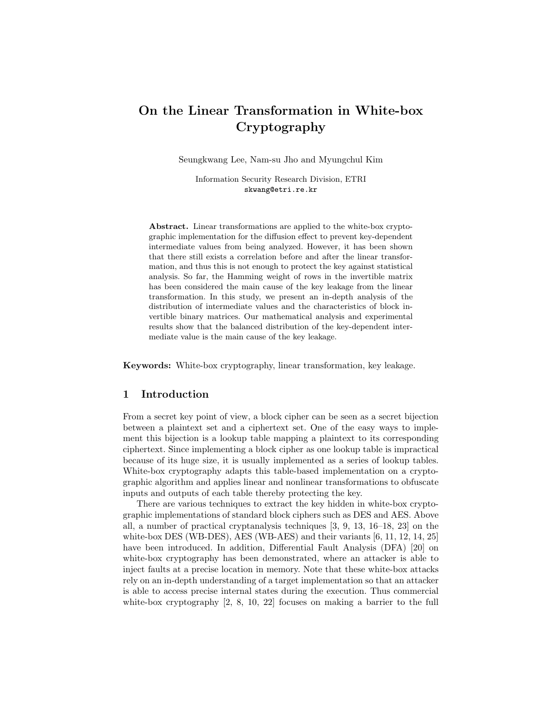# On the Linear Transformation in White-box Cryptography

Seungkwang Lee, Nam-su Jho and Myungchul Kim

Information Security Research Division, ETRI skwang@etri.re.kr

Abstract. Linear transformations are applied to the white-box cryptographic implementation for the diffusion effect to prevent key-dependent intermediate values from being analyzed. However, it has been shown that there still exists a correlation before and after the linear transformation, and thus this is not enough to protect the key against statistical analysis. So far, the Hamming weight of rows in the invertible matrix has been considered the main cause of the key leakage from the linear transformation. In this study, we present an in-depth analysis of the distribution of intermediate values and the characteristics of block invertible binary matrices. Our mathematical analysis and experimental results show that the balanced distribution of the key-dependent intermediate value is the main cause of the key leakage.

Keywords: White-box cryptography, linear transformation, key leakage.

# 1 Introduction

From a secret key point of view, a block cipher can be seen as a secret bijection between a plaintext set and a ciphertext set. One of the easy ways to implement this bijection is a lookup table mapping a plaintext to its corresponding ciphertext. Since implementing a block cipher as one lookup table is impractical because of its huge size, it is usually implemented as a series of lookup tables. White-box cryptography adapts this table-based implementation on a cryptographic algorithm and applies linear and nonlinear transformations to obfuscate inputs and outputs of each table thereby protecting the key.

There are various techniques to extract the key hidden in white-box cryptographic implementations of standard block ciphers such as DES and AES. Above all, a number of practical cryptanalysis techniques [3, 9, 13, 16–18, 23] on the white-box DES (WB-DES), AES (WB-AES) and their variants [6, 11, 12, 14, 25] have been introduced. In addition, Differential Fault Analysis (DFA) [20] on white-box cryptography has been demonstrated, where an attacker is able to inject faults at a precise location in memory. Note that these white-box attacks rely on an in-depth understanding of a target implementation so that an attacker is able to access precise internal states during the execution. Thus commercial white-box cryptography  $[2, 8, 10, 22]$  focuses on making a barrier to the full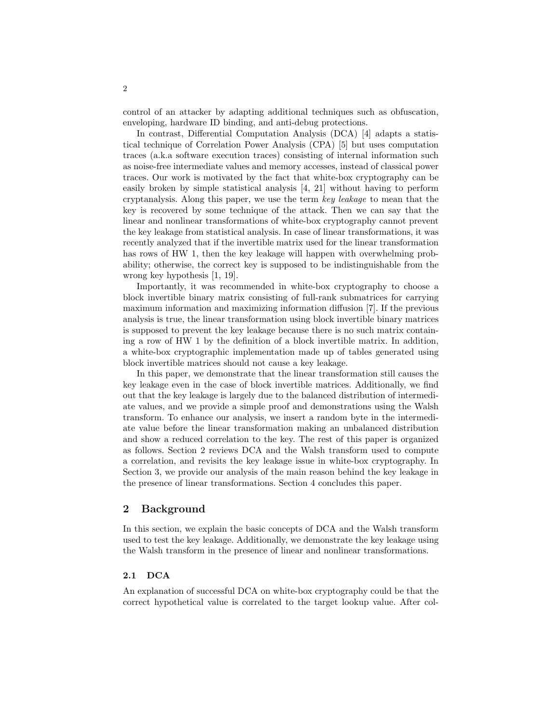control of an attacker by adapting additional techniques such as obfuscation, enveloping, hardware ID binding, and anti-debug protections.

In contrast, Differential Computation Analysis (DCA) [4] adapts a statistical technique of Correlation Power Analysis (CPA) [5] but uses computation traces (a.k.a software execution traces) consisting of internal information such as noise-free intermediate values and memory accesses, instead of classical power traces. Our work is motivated by the fact that white-box cryptography can be easily broken by simple statistical analysis [4, 21] without having to perform cryptanalysis. Along this paper, we use the term key leakage to mean that the key is recovered by some technique of the attack. Then we can say that the linear and nonlinear transformations of white-box cryptography cannot prevent the key leakage from statistical analysis. In case of linear transformations, it was recently analyzed that if the invertible matrix used for the linear transformation has rows of HW 1, then the key leakage will happen with overwhelming probability; otherwise, the correct key is supposed to be indistinguishable from the wrong key hypothesis [1, 19].

Importantly, it was recommended in white-box cryptography to choose a block invertible binary matrix consisting of full-rank submatrices for carrying maximum information and maximizing information diffusion [7]. If the previous analysis is true, the linear transformation using block invertible binary matrices is supposed to prevent the key leakage because there is no such matrix containing a row of HW 1 by the definition of a block invertible matrix. In addition, a white-box cryptographic implementation made up of tables generated using block invertible matrices should not cause a key leakage.

In this paper, we demonstrate that the linear transformation still causes the key leakage even in the case of block invertible matrices. Additionally, we find out that the key leakage is largely due to the balanced distribution of intermediate values, and we provide a simple proof and demonstrations using the Walsh transform. To enhance our analysis, we insert a random byte in the intermediate value before the linear transformation making an unbalanced distribution and show a reduced correlation to the key. The rest of this paper is organized as follows. Section 2 reviews DCA and the Walsh transform used to compute a correlation, and revisits the key leakage issue in white-box cryptography. In Section 3, we provide our analysis of the main reason behind the key leakage in the presence of linear transformations. Section 4 concludes this paper.

# 2 Background

In this section, we explain the basic concepts of DCA and the Walsh transform used to test the key leakage. Additionally, we demonstrate the key leakage using the Walsh transform in the presence of linear and nonlinear transformations.

#### 2.1 DCA

An explanation of successful DCA on white-box cryptography could be that the correct hypothetical value is correlated to the target lookup value. After col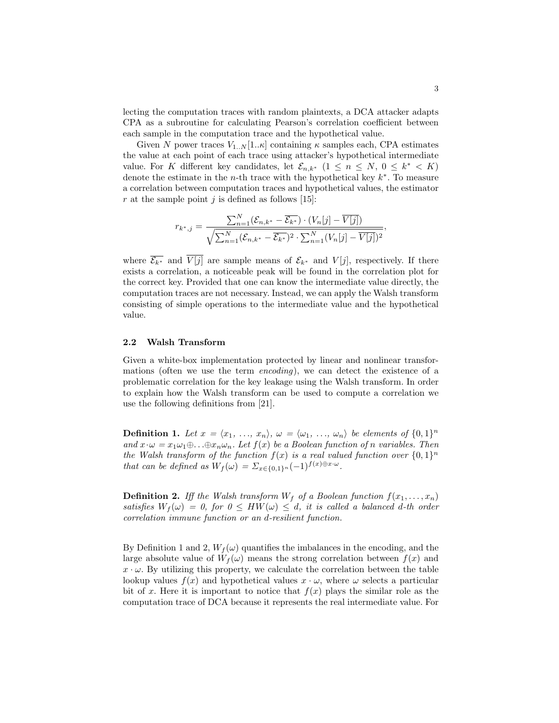lecting the computation traces with random plaintexts, a DCA attacker adapts CPA as a subroutine for calculating Pearson's correlation coefficient between each sample in the computation trace and the hypothetical value.

Given N power traces  $V_{1..N}[1..\kappa]$  containing  $\kappa$  samples each, CPA estimates the value at each point of each trace using attacker's hypothetical intermediate value. For K different key candidates, let  $\mathcal{E}_{n,k^*}$   $(1 \leq n \leq N, 0 \leq k^* < K)$ denote the estimate in the *n*-th trace with the hypothetical key  $k^*$ . To measure a correlation between computation traces and hypothetical values, the estimator r at the sample point j is defined as follows [15]:

$$
r_{k^*,j} = \frac{\sum_{n=1}^{N} (\mathcal{E}_{n,k^*} - \overline{\mathcal{E}_{k^*}}) \cdot (V_n[j] - \overline{V[j]})}{\sqrt{\sum_{n=1}^{N} (\mathcal{E}_{n,k^*} - \overline{\mathcal{E}_{k^*}})^2 \cdot \sum_{n=1}^{N} (V_n[j] - \overline{V[j]})^2}},
$$

where  $\overline{\mathcal{E}_{k^*}}$  and  $\overline{V[j]}$  are sample means of  $\mathcal{E}_{k^*}$  and  $V[j]$ , respectively. If there exists a correlation, a noticeable peak will be found in the correlation plot for the correct key. Provided that one can know the intermediate value directly, the computation traces are not necessary. Instead, we can apply the Walsh transform consisting of simple operations to the intermediate value and the hypothetical value.

#### 2.2 Walsh Transform

Given a white-box implementation protected by linear and nonlinear transformations (often we use the term encoding), we can detect the existence of a problematic correlation for the key leakage using the Walsh transform. In order to explain how the Walsh transform can be used to compute a correlation we use the following definitions from [21].

**Definition 1.** Let  $x = \langle x_1, \ldots, x_n \rangle$ ,  $\omega = \langle \omega_1, \ldots, \omega_n \rangle$  be elements of  $\{0, 1\}^n$ and  $x \cdot \omega = x_1 \omega_1 \oplus ... \oplus x_n \omega_n$ . Let  $f(x)$  be a Boolean function of n variables. Then the Walsh transform of the function  $f(x)$  is a real valued function over  $\{0,1\}^n$ that can be defined as  $W_f(\omega) = \sum_{x \in \{0,1\}^n} (-1)^{f(x) \oplus x \cdot \omega}$ .

**Definition 2.** Iff the Walsh transform  $W_f$  of a Boolean function  $f(x_1, \ldots, x_n)$ satisfies  $W_f(\omega) = 0$ , for  $0 \leq HW(\omega) \leq d$ , it is called a balanced d-th order correlation immune function or an d-resilient function.

By Definition 1 and 2,  $W_f(\omega)$  quantifies the imbalances in the encoding, and the large absolute value of  $W_f(\omega)$  means the strong correlation between  $f(x)$  and  $x \cdot \omega$ . By utilizing this property, we calculate the correlation between the table lookup values  $f(x)$  and hypothetical values  $x \cdot \omega$ , where  $\omega$  selects a particular bit of x. Here it is important to notice that  $f(x)$  plays the similar role as the computation trace of DCA because it represents the real intermediate value. For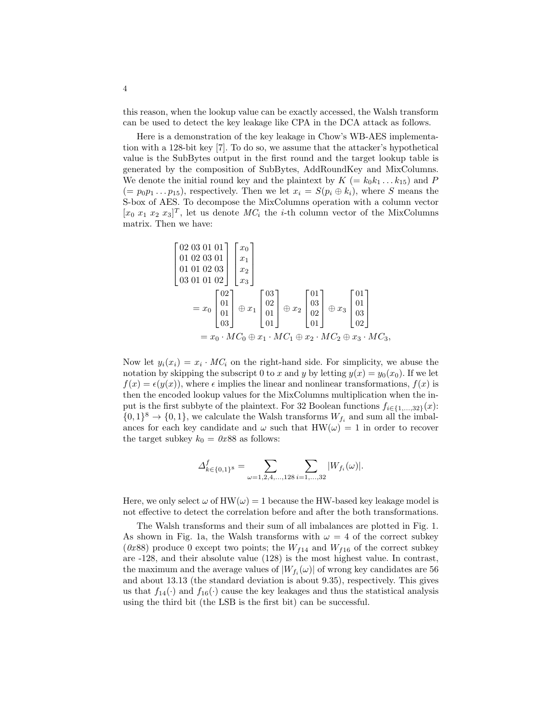this reason, when the lookup value can be exactly accessed, the Walsh transform can be used to detect the key leakage like CPA in the DCA attack as follows.

Here is a demonstration of the key leakage in Chow's WB-AES implementation with a 128-bit key [7]. To do so, we assume that the attacker's hypothetical value is the SubBytes output in the first round and the target lookup table is generated by the composition of SubBytes, AddRoundKey and MixColumns. We denote the initial round key and the plaintext by  $K = k_0 k_1 \dots k_{15}$  and P  $(= p_0 p_1 \dots p_{15})$ , respectively. Then we let  $x_i = S(p_i \oplus k_i)$ , where S means the S-box of AES. To decompose the MixColumns operation with a column vector  $[x_0 \ x_1 \ x_2 \ x_3]^T$ , let us denote  $MC_i$  the *i*-th column vector of the MixColumns matrix. Then we have:

$$
\begin{bmatrix}\n02 & 03 & 01 & 01 \\
01 & 02 & 03 & 01 \\
01 & 01 & 02 & 03 \\
03 & 01 & 01 & 02\n\end{bmatrix}\n\begin{bmatrix}\nx_0 \\
x_1 \\
x_2 \\
x_3\n\end{bmatrix}
$$
\n
$$
= x_0 \begin{bmatrix}\n02 \\
01 \\
01 \\
03\n\end{bmatrix} \oplus x_1 \begin{bmatrix}\n03 \\
02 \\
01 \\
01\n\end{bmatrix} \oplus x_2 \begin{bmatrix}\n01 \\
03 \\
02 \\
01\n\end{bmatrix} \oplus x_3 \begin{bmatrix}\n01 \\
01 \\
03 \\
02\n\end{bmatrix}
$$
\n
$$
= x_0 \cdot MC_0 \oplus x_1 \cdot MC_1 \oplus x_2 \cdot MC_2 \oplus x_3 \cdot MC_3,
$$

Now let  $y_i(x_i) = x_i \cdot MC_i$  on the right-hand side. For simplicity, we abuse the notation by skipping the subscript 0 to x and y by letting  $y(x) = y_0(x_0)$ . If we let  $f(x) = \epsilon(y(x))$ , where  $\epsilon$  implies the linear and nonlinear transformations,  $f(x)$  is then the encoded lookup values for the MixColumns multiplication when the input is the first subbyte of the plaintext. For 32 Boolean functions  $f_{i\in\{1,\ldots,32\}}(x)$ :  $\{0,1\}^8 \to \{0,1\}$ , we calculate the Walsh transforms  $W_{f_i}$  and sum all the imbalances for each key candidate and  $\omega$  such that HW( $\omega$ ) = 1 in order to recover the target subkey  $k_0 = 0x88$  as follows:

$$
\varDelta_{k\in\{0,1\}^{8}}^{f}=\sum_{\omega=1,2,4,...,128}\sum_{i=1,...,32}|W_{f_{i}}(\omega)|.
$$

Here, we only select  $\omega$  of HW( $\omega$ ) = 1 because the HW-based key leakage model is not effective to detect the correlation before and after the both transformations.

The Walsh transforms and their sum of all imbalances are plotted in Fig. 1. As shown in Fig. 1a, the Walsh transforms with  $\omega = 4$  of the correct subkey (0x88) produce 0 except two points; the  $W_{f14}$  and  $W_{f16}$  of the correct subkey are -128, and their absolute value (128) is the most highest value. In contrast, the maximum and the average values of  $|W_{f_i}(\omega)|$  of wrong key candidates are 56 and about 13.13 (the standard deviation is about 9.35), respectively. This gives us that  $f_{14}(\cdot)$  and  $f_{16}(\cdot)$  cause the key leakages and thus the statistical analysis using the third bit (the LSB is the first bit) can be successful.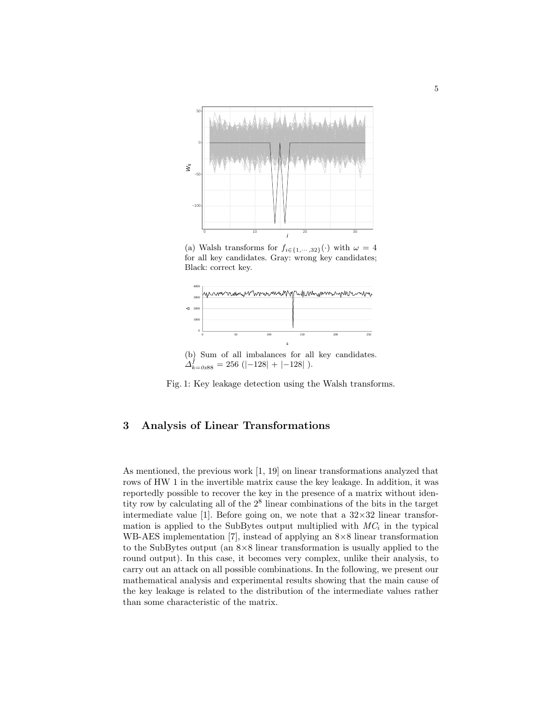

(a) Walsh transforms for  $f_{i\in\{1,\cdots,32\}}(\cdot)$  with  $\omega=4$ for all key candidates. Gray: wrong key candidates; Black: correct key.



(b) Sum of all imbalances for all key candidates.  $\Delta_{k=0x88}^{f} = 256$  (|-128| + |-128| ).



### 3 Analysis of Linear Transformations

As mentioned, the previous work [1, 19] on linear transformations analyzed that rows of HW 1 in the invertible matrix cause the key leakage. In addition, it was reportedly possible to recover the key in the presence of a matrix without identity row by calculating all of the 2<sup>8</sup> linear combinations of the bits in the target intermediate value [1]. Before going on, we note that a  $32\times32$  linear transformation is applied to the SubBytes output multiplied with  $MC_i$  in the typical WB-AES implementation [7], instead of applying an 8×8 linear transformation to the SubBytes output (an  $8\times 8$  linear transformation is usually applied to the round output). In this case, it becomes very complex, unlike their analysis, to carry out an attack on all possible combinations. In the following, we present our mathematical analysis and experimental results showing that the main cause of the key leakage is related to the distribution of the intermediate values rather than some characteristic of the matrix.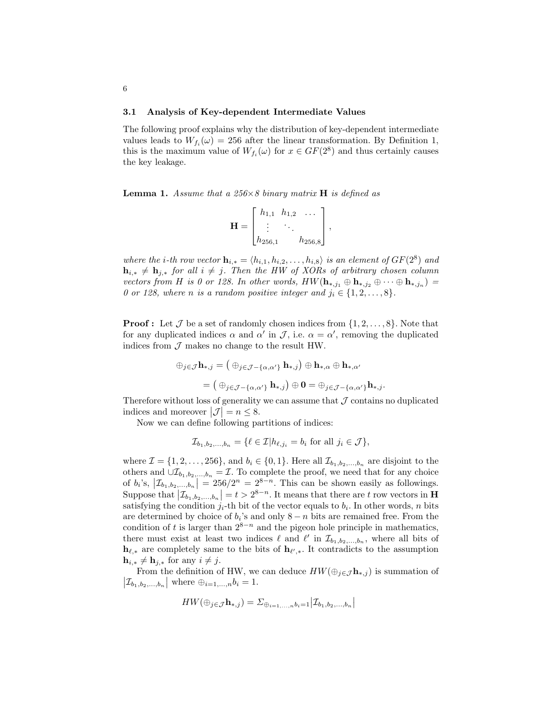#### 3.1 Analysis of Key-dependent Intermediate Values

The following proof explains why the distribution of key-dependent intermediate values leads to  $W_{f_i}(\omega) = 256$  after the linear transformation. By Definition 1, this is the maximum value of  $W_{f_i}(\omega)$  for  $x \in GF(2^8)$  and thus certainly causes the key leakage.

**Lemma 1.** Assume that a  $256\times8$  binary matrix **H** is defined as

$$
\mathbf{H} = \begin{bmatrix} h_{1,1} & h_{1,2} & \cdots \\ \vdots & \ddots & \vdots \\ h_{256,1} & h_{256,8} \end{bmatrix},
$$

where the *i*-th row vector  $\mathbf{h}_{i,*} = \langle h_{i,1}, h_{i,2}, \ldots, h_{i,8} \rangle$  is an element of  $GF(2^8)$  and  $\mathbf{h}_{i,*} \neq \mathbf{h}_{j,*}$  for all  $i \neq j$ . Then the HW of XORs of arbitrary chosen column vectors from H is 0 or 128. In other words,  $HW(\mathbf{h}_{*,j_1} \oplus \mathbf{h}_{*,j_2} \oplus \cdots \oplus \mathbf{h}_{*,j_n}) =$ 0 or 128, where n is a random positive integer and  $j_i \in \{1, 2, ..., 8\}$ .

**Proof :** Let  $\mathcal{J}$  be a set of randomly chosen indices from  $\{1, 2, \ldots, 8\}$ . Note that for any duplicated indices  $\alpha$  and  $\alpha'$  in  $\mathcal{J}$ , i.e.  $\alpha = \alpha'$ , removing the duplicated indices from  $\mathcal J$  makes no change to the result HW.

$$
\begin{aligned} \oplus_{j\in\mathcal{J}}\mathbf{h}_{*,j} &= \left(\,\oplus_{j\in\mathcal{J}-\{\alpha,\alpha'\}}\,\mathbf{h}_{*,j}\right)\oplus\mathbf{h}_{*,\alpha}\oplus\mathbf{h}_{*,\alpha'}\\ &= \left(\,\oplus_{j\in\mathcal{J}-\{\alpha,\alpha'\}}\,\mathbf{h}_{*,j}\right)\oplus\mathbf{0} = \oplus_{j\in\mathcal{J}-\{\alpha,\alpha'\}}\mathbf{h}_{*,j}.\end{aligned}
$$

Therefore without loss of generality we can assume that  $J$  contains no duplicated indices and moreover  $|\mathcal{J}| = n \leq 8$ .

Now we can define following partitions of indices:

$$
\mathcal{I}_{b_1,b_2,\dots,b_n} = \{ \ell \in \mathcal{I} | h_{\ell,j_i} = b_i \text{ for all } j_i \in \mathcal{J} \},
$$

where  $\mathcal{I} = \{1, 2, \ldots, 256\}$ , and  $b_i \in \{0, 1\}$ . Here all  $\mathcal{I}_{b_1, b_2, \ldots, b_n}$  are disjoint to the others and  $\cup \mathcal{I}_{b_1,b_2,...,b_n} = \mathcal{I}$ . To complete the proof, we need that for any choice of  $b_i$ 's,  $|\mathcal{I}_{b_1,b_2,...,b_n}| = 256/2^n = 2^{8-n}$ . This can be shown easily as followings. Suppose that  $|\mathcal{I}_{b_1,b_2,...,b_n}| = t > 2^{8-n}$ . It means that there are t row vectors in **H** satisfying the condition  $j_i$ -th bit of the vector equals to  $b_i$ . In other words, n bits are determined by choice of  $b_i$ 's and only  $8 - n$  bits are remained free. From the condition of t is larger than  $2^{8-n}$  and the pigeon hole principle in mathematics, there must exist at least two indices  $\ell$  and  $\ell'$  in  $\mathcal{I}_{b_1,b_2,...,b_n}$ , where all bits of  $h_{\ell,*}$  are completely same to the bits of  $h_{\ell',*}$ . It contradicts to the assumption  $\mathbf{h}_{i,*} \neq \mathbf{h}_{j,*}$  for any  $i \neq j$ .

From the definition of HW, we can deduce  $HW(\oplus_{j\in\mathcal{J}}\mathbf{h}_{*,j})$  is summation of  $|\mathcal{I}_{b_1, b_2,...,b_n}|$  where  $\oplus_{i=1,...,n} b_i = 1$ .

$$
HW(\oplus_{j\in\mathcal{J}}\mathbf{h}_{*,j})=\Sigma_{\oplus_{i=1,\dots,n}b_i=1}|\mathcal{I}_{b_1,b_2,\dots,b_n}|
$$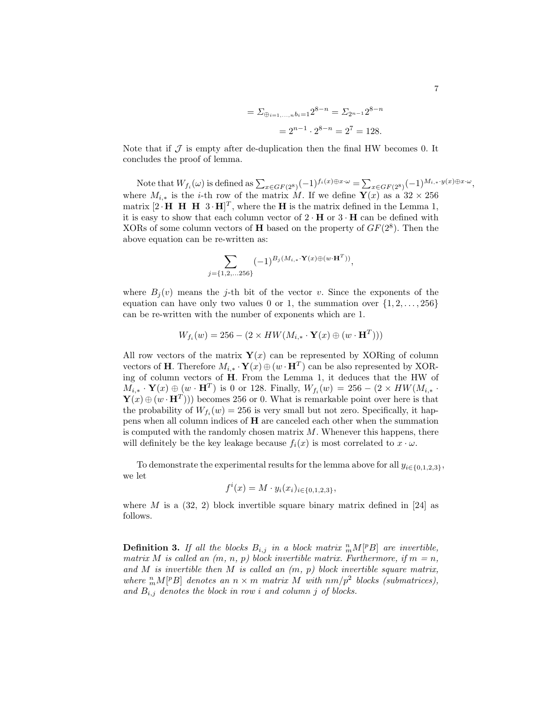$$
= \Sigma_{\oplus_{i=1,\dots,n}b_i=1} 2^{8-n} = \Sigma_{2n-1} 2^{8-n}
$$

$$
= 2^{n-1} \cdot 2^{8-n} = 2^7 = 128.
$$

Note that if  $\mathcal J$  is empty after de-duplication then the final HW becomes 0. It concludes the proof of lemma.

Note that  $W_{f_i}(\omega)$  is defined as  $\sum_{x \in GF(2^8)} (-1)^{f_i(x) \oplus x \cdot \omega} = \sum_{x \in GF(2^8)} (-1)^{M_{i,*}} y(x) \oplus x \cdot \omega$ , where  $M_{i,*}$  is the *i*-th row of the matrix M. If we define  $\mathbf{Y}(x)$  as a 32 × 256 matrix  $[2 \cdot \mathbf{H} \ \mathbf{H} \ \mathbf{H} \ \mathbf{3} \cdot \mathbf{H}]^T$ , where the **H** is the matrix defined in the Lemma 1, it is easy to show that each column vector of  $2 \cdot H$  or  $3 \cdot H$  can be defined with XORs of some column vectors of **H** based on the property of  $GF(2^8)$ . Then the above equation can be re-written as:

$$
\sum_{j=\{1,2,\ldots,256\}} (-1)^{B_j(M_{i,*} \cdot \mathbf{Y}(x) \oplus (w \cdot \mathbf{H}^T))},
$$

where  $B_i(v)$  means the j-th bit of the vector v. Since the exponents of the equation can have only two values 0 or 1, the summation over  $\{1, 2, \ldots, 256\}$ can be re-written with the number of exponents which are 1.

$$
W_{f_i}(w) = 256 - (2 \times HW(M_{i,*} \cdot \mathbf{Y}(x) \oplus (w \cdot \mathbf{H}^T)))
$$

All row vectors of the matrix  $\mathbf{Y}(x)$  can be represented by XORing of column vectors of **H**. Therefore  $M_{i,*} \cdot \mathbf{Y}(x) \oplus (w \cdot \mathbf{H}^T)$  can be also represented by XORing of column vectors of H. From the Lemma 1, it deduces that the HW of  $M_{i,*} \cdot \mathbf{Y}(x) \oplus (w \cdot \mathbf{H}^T)$  is 0 or 128. Finally,  $W_{f_i}(w) = 256 - (2 \times HW(M_{i,*} \cdot$  $\mathbf{Y}(x) \oplus (w \cdot \mathbf{H}^T)$ ) becomes 256 or 0. What is remarkable point over here is that the probability of  $W_{f_i}(w) = 256$  is very small but not zero. Specifically, it happens when all column indices of H are canceled each other when the summation is computed with the randomly chosen matrix  $M$ . Whenever this happens, there will definitely be the key leakage because  $f_i(x)$  is most correlated to  $x \cdot \omega$ .

To demonstrate the experimental results for the lemma above for all  $y_{i\in\{0,1,2,3\}}$ , we let

$$
f^{i}(x) = M \cdot y_{i}(x_{i})_{i \in \{0, 1, 2, 3\}},
$$

where M is a  $(32, 2)$  block invertible square binary matrix defined in [24] as follows.

**Definition 3.** If all the blocks  $B_{i,j}$  in a block matrix  ${}^n_m M[{}^p B]$  are invertible, matrix M is called an  $(m, n, p)$  block invertible matrix. Furthermore, if  $m = n$ , and M is invertible then M is called an  $(m, p)$  block invertible square matrix, where  ${}_{m}^{n}M[{}^{p}B]$  denotes an  $n \times m$  matrix M with  $nm/p^{2}$  blocks (submatrices), and  $B_{i,j}$  denotes the block in row i and column j of blocks.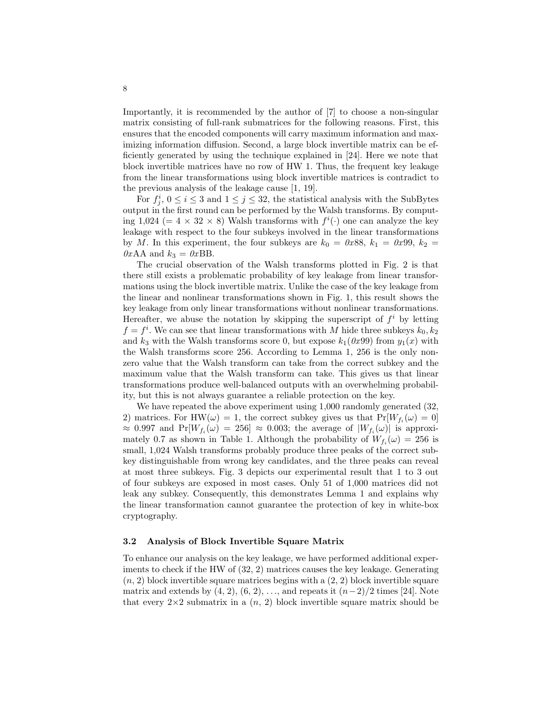Importantly, it is recommended by the author of [7] to choose a non-singular matrix consisting of full-rank submatrices for the following reasons. First, this ensures that the encoded components will carry maximum information and maximizing information diffusion. Second, a large block invertible matrix can be efficiently generated by using the technique explained in [24]. Here we note that block invertible matrices have no row of HW 1. Thus, the frequent key leakage from the linear transformations using block invertible matrices is contradict to the previous analysis of the leakage cause [1, 19].

For  $f_j^i$ ,  $0 \le i \le 3$  and  $1 \le j \le 32$ , the statistical analysis with the SubBytes output in the first round can be performed by the Walsh transforms. By computing 1,024 (=  $4 \times 32 \times 8$ ) Walsh transforms with  $f^{i}(\cdot)$  one can analyze the key leakage with respect to the four subkeys involved in the linear transformations by M. In this experiment, the four subkeys are  $k_0 = 0x88$ ,  $k_1 = 0x99$ ,  $k_2 =$  $0xAA$  and  $k_3 = 0xBB$ .

The crucial observation of the Walsh transforms plotted in Fig. 2 is that there still exists a problematic probability of key leakage from linear transformations using the block invertible matrix. Unlike the case of the key leakage from the linear and nonlinear transformations shown in Fig. 1, this result shows the key leakage from only linear transformations without nonlinear transformations. Hereafter, we abuse the notation by skipping the superscript of  $f^i$  by letting  $f = f^i$ . We can see that linear transformations with M hide three subkeys  $k_0, k_2$ and  $k_3$  with the Walsh transforms score 0, but expose  $k_1(0x99)$  from  $y_1(x)$  with the Walsh transforms score 256. According to Lemma 1, 256 is the only nonzero value that the Walsh transform can take from the correct subkey and the maximum value that the Walsh transform can take. This gives us that linear transformations produce well-balanced outputs with an overwhelming probability, but this is not always guarantee a reliable protection on the key.

We have repeated the above experiment using 1,000 randomly generated  $(32, 12)$ 2) matrices. For HW( $\omega$ ) = 1, the correct subkey gives us that  $Pr[W_{f_i}(\omega) = 0]$  $\approx 0.997$  and  $Pr[W_{f_i}(\omega) = 256] \approx 0.003$ ; the average of  $|W_{f_i}(\omega)|$  is approximately 0.7 as shown in Table 1. Although the probability of  $W_{f_i}(\omega) = 256$  is small, 1,024 Walsh transforms probably produce three peaks of the correct subkey distinguishable from wrong key candidates, and the three peaks can reveal at most three subkeys. Fig. 3 depicts our experimental result that 1 to 3 out of four subkeys are exposed in most cases. Only 51 of 1,000 matrices did not leak any subkey. Consequently, this demonstrates Lemma 1 and explains why the linear transformation cannot guarantee the protection of key in white-box cryptography.

#### 3.2 Analysis of Block Invertible Square Matrix

To enhance our analysis on the key leakage, we have performed additional experiments to check if the HW of (32, 2) matrices causes the key leakage. Generating  $(n, 2)$  block invertible square matrices begins with a  $(2, 2)$  block invertible square matrix and extends by  $(4, 2), (6, 2), \ldots$ , and repeats it  $(n-2)/2$  times [24]. Note that every  $2\times 2$  submatrix in a  $(n, 2)$  block invertible square matrix should be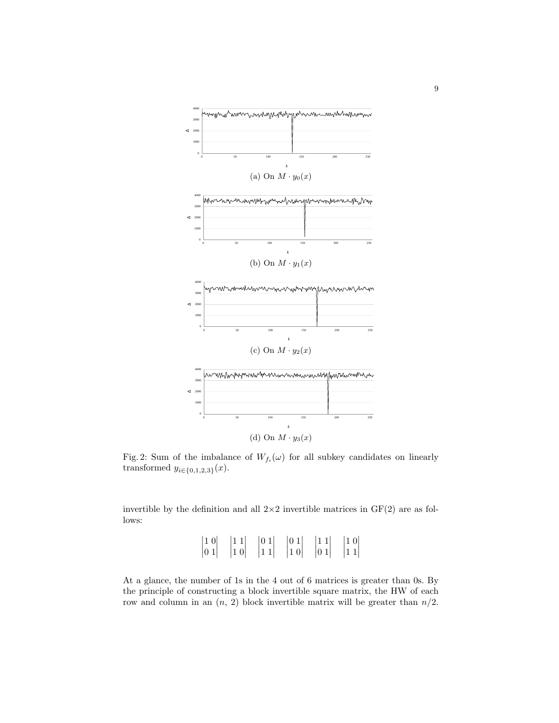

Fig. 2: Sum of the imbalance of  $W_{f_i}(\omega)$  for all subkey candidates on linearly transformed  $y_{i \in \{0,1,2,3\}}(x)$ .

invertible by the definition and all  $2\times 2$  invertible matrices in  $GF(2)$  are as follows:

> $\begin{array}{c} \begin{array}{c} \begin{array}{c} \end{array} \\ \begin{array}{c} \end{array} \end{array} \end{array}$ 1 0 0 1  $\begin{array}{c} \begin{array}{c} \begin{array}{c} \end{array} \\ \begin{array}{c} \end{array} \end{array} \end{array}$  1 1 1 0  $\begin{array}{c} \hline \rule{0pt}{2.5ex} \\ \rule{0pt}{2.5ex} \end{array}$ 0 1 1 1  $\begin{array}{c} \hline \rule{0pt}{2ex} \rule{0pt}{2ex} \rule{0pt}{2ex} \rule{0pt}{2ex} \rule{0pt}{2ex} \rule{0pt}{2ex} \rule{0pt}{2ex} \rule{0pt}{2ex} \rule{0pt}{2ex} \rule{0pt}{2ex} \rule{0pt}{2ex} \rule{0pt}{2ex} \rule{0pt}{2ex} \rule{0pt}{2ex} \rule{0pt}{2ex} \rule{0pt}{2ex} \rule{0pt}{2ex} \rule{0pt}{2ex} \rule{0pt}{2ex} \rule{0pt}{2ex} \rule{0pt}{2ex} \rule{0pt}{2ex} \rule{0pt}{2ex} \rule{$  $\begin{array}{c} \begin{array}{c} \begin{array}{c} \end{array} \\ \begin{array}{c} \end{array} \end{array} \end{array}$ 0 1 1 0  $\begin{array}{c} \begin{array}{c} \begin{array}{c} \end{array} \\ \begin{array}{c} \end{array} \end{array} \end{array}$  $\begin{array}{c} \begin{array}{c} \begin{array}{c} \end{array} \\ \begin{array}{c} \end{array} \end{array} \end{array}$ 1 1 0 1 1 0 1 1  $\begin{array}{c} \hline \rule{0pt}{2.5ex} \\ \rule{0pt}{2.5ex} \end{array}$

At a glance, the number of 1s in the 4 out of 6 matrices is greater than 0s. By the principle of constructing a block invertible square matrix, the HW of each row and column in an  $(n, 2)$  block invertible matrix will be greater than  $n/2$ .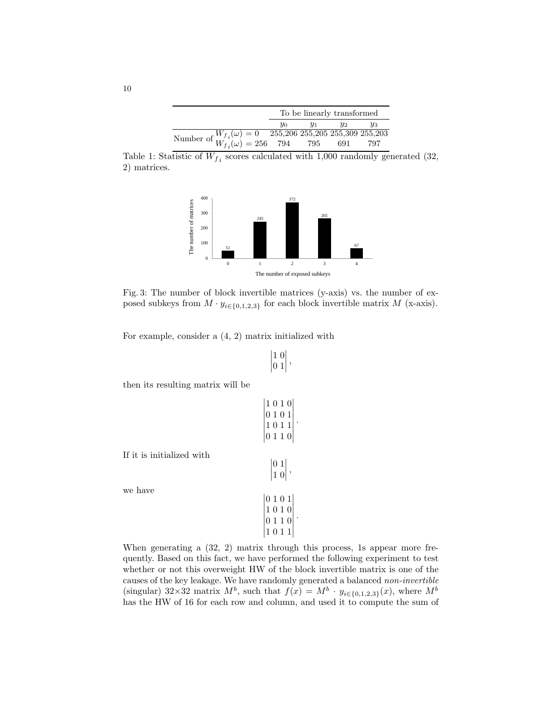|                                                                                                            | To be linearly transformed |       |       |       |  |  |  |
|------------------------------------------------------------------------------------------------------------|----------------------------|-------|-------|-------|--|--|--|
|                                                                                                            | $y_0$                      | $y_1$ | $y_2$ | $y_3$ |  |  |  |
| Number of $W_{f_i}(\omega) = 0$ 255,206 255,205 255,309 255,203<br>$W_{f_i}(\omega) = 256$ 794 795 691 797 |                            |       |       |       |  |  |  |
|                                                                                                            |                            |       |       |       |  |  |  |

Table 1: Statistic of  $W_{f_i}$  scores calculated with 1,000 randomly generated (32, 2) matrices.



Fig. 3: The number of block invertible matrices (y-axis) vs. the number of exposed subkeys from  $M \cdot y_{i \in \{0,1,2,3\}}$  for each block invertible matrix  $M$  (x-axis).

For example, consider a (4, 2) matrix initialized with

$$
\begin{vmatrix} 1 & 0 \\ 0 & 1 \end{vmatrix},
$$

then its resulting matrix will be

If it is initialized with  
\nwe have  
\n
$$
\begin{vmatrix}\n1 & 0 & 1 & 0 \\
0 & 1 & 0 & 1 \\
1 & 0 & 1 & 10\n\end{vmatrix}
$$
\n
$$
\begin{vmatrix}\n0 & 1 \\
1 & 0\n\end{vmatrix}
$$
\n
$$
\begin{vmatrix}\n0 & 1 \\
1 & 0\n\end{vmatrix}
$$
\n
$$
\begin{vmatrix}\n0 & 1 & 0 \\
1 & 0 & 1 \\
0 & 1 & 10\n\end{vmatrix}
$$

When generating a  $(32, 2)$  matrix through this process, 1s appear more frequently. Based on this fact, we have performed the following experiment to test whether or not this overweight HW of the block invertible matrix is one of the causes of the key leakage. We have randomly generated a balanced non-invertible (singular) 32×32 matrix  $M^b$ , such that  $f(x) = M^b \cdot y_{i \in \{0,1,2,3\}}(x)$ , where  $M^b$ has the HW of 16 for each row and column, and used it to compute the sum of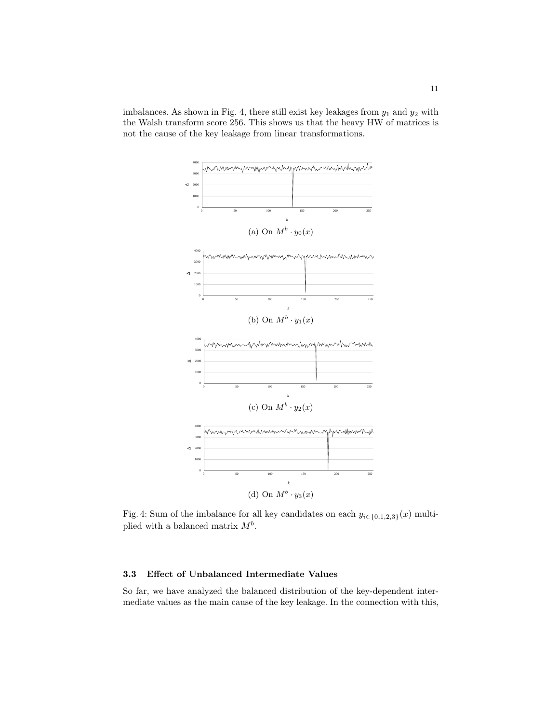imbalances. As shown in Fig. 4, there still exist key leakages from  $y_1$  and  $y_2$  with the Walsh transform score 256. This shows us that the heavy HW of matrices is not the cause of the key leakage from linear transformations.



Fig. 4: Sum of the imbalance for all key candidates on each  $y_{i \in \{0,1,2,3\}}(x)$  multiplied with a balanced matrix  $M^b$ .

### 3.3 Effect of Unbalanced Intermediate Values

So far, we have analyzed the balanced distribution of the key-dependent intermediate values as the main cause of the key leakage. In the connection with this,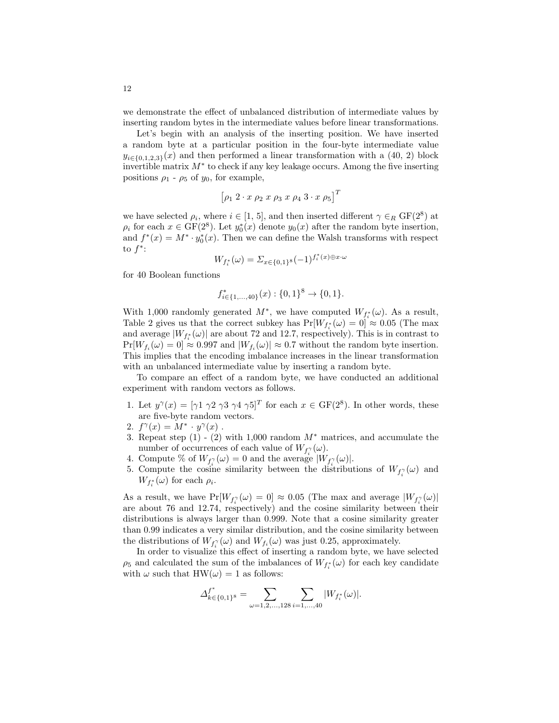we demonstrate the effect of unbalanced distribution of intermediate values by inserting random bytes in the intermediate values before linear transformations.

Let's begin with an analysis of the inserting position. We have inserted a random byte at a particular position in the four-byte intermediate value  $y_{i\in\{0,1,2,3\}}(x)$  and then performed a linear transformation with a (40, 2) block invertible matrix  $M^*$  to check if any key leakage occurs. Among the five inserting positions  $\rho_1$  -  $\rho_5$  of  $y_0$ , for example,

$$
\left[ \rho_1 \; 2 \cdot x \; \rho_2 \; x \; \rho_3 \; x \; \rho_4 \; 3 \cdot x \; \rho_5 \right]^T
$$

we have selected  $\rho_i$ , where  $i \in [1, 5]$ , and then inserted different  $\gamma \in_R \mathrm{GF}(2^8)$  at  $\rho_i$  for each  $x \in \text{GF}(2^8)$ . Let  $y_0^*(x)$  denote  $y_0(x)$  after the random byte insertion, and  $f^*(x) = M^* \cdot y_0^*(x)$ . Then we can define the Walsh transforms with respect to  $f^*$ :

$$
W_{f_i^*}(\omega) = \Sigma_{x \in \{0,1\}^8}(-1)^{f_i^*(x) \oplus x \cdot \omega}
$$

for 40 Boolean functions

$$
f_{i \in \{1,\dots,40\}}^*(x) : \{0,1\}^8 \to \{0,1\}.
$$

With 1,000 randomly generated  $M^*$ , we have computed  $W_{f_i^*}(\omega)$ . As a result, Table 2 gives us that the correct subkey has  $Pr[W_{f_i^*}(\omega) = 0] \approx 0.05$  (The max and average  $|W_{f_i^*}(\omega)|$  are about 72 and 12.7, respectively). This is in contrast to  $Pr[W_{f_i}(\omega) = 0] \approx 0.997$  and  $|W_{f_i}(\omega)| \approx 0.7$  without the random byte insertion. This implies that the encoding imbalance increases in the linear transformation with an unbalanced intermediate value by inserting a random byte.

To compare an effect of a random byte, we have conducted an additional experiment with random vectors as follows.

- 1. Let  $y^{\gamma}(x) = [\gamma 1 \gamma 2 \gamma 3 \gamma 4 \gamma 5]^T$  for each  $x \in \text{GF}(2^8)$ . In other words, these are five-byte random vectors.
- 2.  $f^{\gamma}(x) = M^* \cdot y^{\gamma}(x)$ .
- 3. Repeat step  $(1)$   $(2)$  with 1,000 random  $M^*$  matrices, and accumulate the number of occurrences of each value of  $W_{f_i^{\gamma}}(\omega)$ .
- 4. Compute % of  $W_{f_i^{\gamma}}(\omega) = 0$  and the average  $|W_{f_i^{\gamma}}(\omega)|$ .
- 5. Compute the cosine similarity between the distributions of  $W_{f_i^{\gamma}}(\omega)$  and  $W_{f_i^*}(\omega)$  for each  $\rho_i$ .

As a result, we have  $Pr[W_{f_i^{\gamma}}(\omega) = 0] \approx 0.05$  (The max and average  $|W_{f_i^{\gamma}}(\omega)|$ are about 76 and 12.74, respectively) and the cosine similarity between their distributions is always larger than 0.999. Note that a cosine similarity greater than 0.99 indicates a very similar distribution, and the cosine similarity between the distributions of  $W_{f_i}(\omega)$  and  $W_{f_i}(\omega)$  was just 0.25, approximately.

In order to visualize this effect of inserting a random byte, we have selected  $\rho_5$  and calculated the sum of the imbalances of  $W_{f_i^*}(\omega)$  for each key candidate with  $\omega$  such that HW( $\omega$ ) = 1 as follows:

$$
\varDelta_{k \in \{0,1\}^8}^{\mathfrak{f}^*} = \sum_{\omega=1,2,...,128} \sum_{i=1,...,40} |W_{f_i^*}(\omega)|.
$$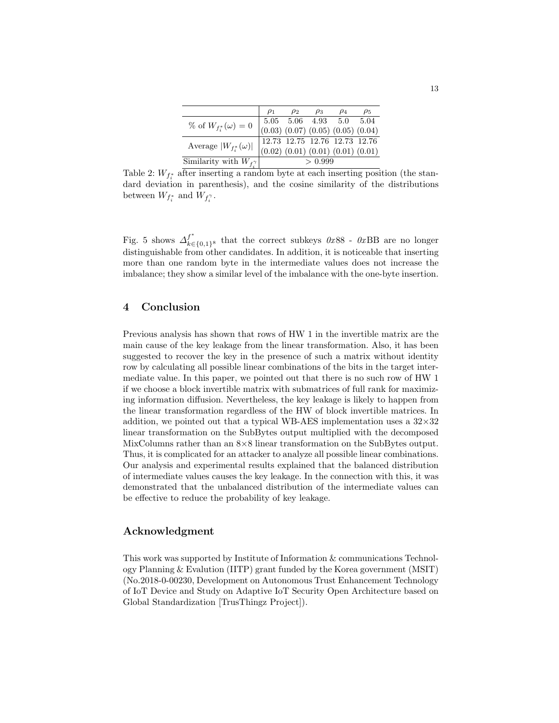|                                    | $\rho_1$ | $\rho_2$ | $\rho_3$ | $\rho_4$                                                                                                                                | $\rho_5$ |
|------------------------------------|----------|----------|----------|-----------------------------------------------------------------------------------------------------------------------------------------|----------|
| % of $W_{f_i^*}(\omega)=0$         |          |          |          |                                                                                                                                         |          |
|                                    |          |          |          | $\begin{array}{ ccc } 5.05 & 5.06 & 4.93 & 5.0 & 5.04 \\ (0.03) & (0.07) & (0.05) & (0.05) & (0.04) \end{array}$                        |          |
| Average $ W_{f_i^*}(\omega) $      |          |          |          |                                                                                                                                         |          |
|                                    |          |          |          | $\begin{array}{ ccc } \hline 12.73 & 12.75 & 12.76 & 12.73 & 12.76 \\ (0.02) & (0.01) & (0.01) & (0.01) & (0.01) \\ \hline \end{array}$ |          |
| Similarity with $W_{f_i^{\gamma}}$ |          |          | > 0.999  |                                                                                                                                         |          |

Table 2:  $W_{f_i^*}$  after inserting a random byte at each inserting position (the standard deviation in parenthesis), and the cosine similarity of the distributions between  $W_{f_i^*}$  and  $W_{f_i^{\gamma}}$ .

Fig. 5 shows  $\Delta_{k\in\{0,1\}^8}^{f^*}$  that the correct subkeys  $0x88$  -  $0xBB$  are no longer distinguishable from other candidates. In addition, it is noticeable that inserting more than one random byte in the intermediate values does not increase the imbalance; they show a similar level of the imbalance with the one-byte insertion.

## 4 Conclusion

Previous analysis has shown that rows of HW 1 in the invertible matrix are the main cause of the key leakage from the linear transformation. Also, it has been suggested to recover the key in the presence of such a matrix without identity row by calculating all possible linear combinations of the bits in the target intermediate value. In this paper, we pointed out that there is no such row of HW 1 if we choose a block invertible matrix with submatrices of full rank for maximizing information diffusion. Nevertheless, the key leakage is likely to happen from the linear transformation regardless of the HW of block invertible matrices. In addition, we pointed out that a typical WB-AES implementation uses a  $32\times32$ linear transformation on the SubBytes output multiplied with the decomposed MixColumns rather than an  $8\times8$  linear transformation on the SubBytes output. Thus, it is complicated for an attacker to analyze all possible linear combinations. Our analysis and experimental results explained that the balanced distribution of intermediate values causes the key leakage. In the connection with this, it was demonstrated that the unbalanced distribution of the intermediate values can be effective to reduce the probability of key leakage.

### Acknowledgment

This work was supported by Institute of Information & communications Technology Planning & Evalution (IITP) grant funded by the Korea government (MSIT) (No.2018-0-00230, Development on Autonomous Trust Enhancement Technology of IoT Device and Study on Adaptive IoT Security Open Architecture based on Global Standardization [TrusThingz Project]).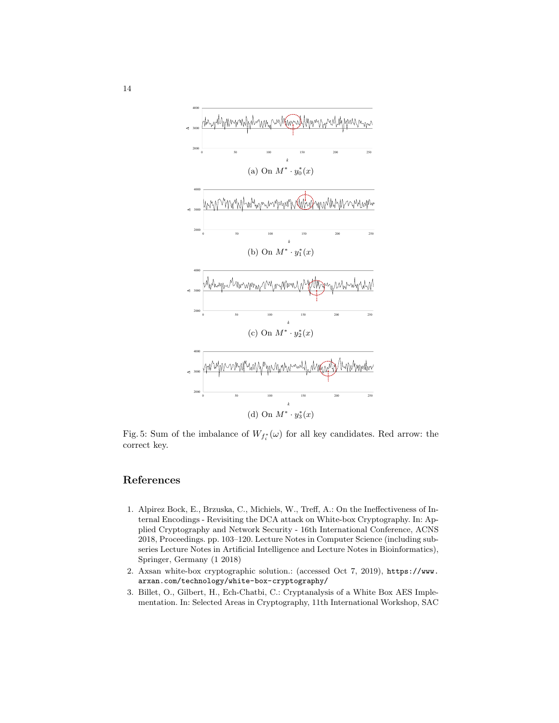

Fig. 5: Sum of the imbalance of  $W_{f_i^*}(\omega)$  for all key candidates. Red arrow: the correct key.

# References

- 1. Alpirez Bock, E., Brzuska, C., Michiels, W., Treff, A.: On the Ineffectiveness of Internal Encodings - Revisiting the DCA attack on White-box Cryptography. In: Applied Cryptography and Network Security - 16th International Conference, ACNS 2018, Proceedings. pp. 103–120. Lecture Notes in Computer Science (including subseries Lecture Notes in Artificial Intelligence and Lecture Notes in Bioinformatics), Springer, Germany (1 2018)
- 2. Axsan white-box cryptographic solution.: (accessed Oct 7, 2019), https://www. arxan.com/technology/white-box-cryptography/
- 3. Billet, O., Gilbert, H., Ech-Chatbi, C.: Cryptanalysis of a White Box AES Implementation. In: Selected Areas in Cryptography, 11th International Workshop, SAC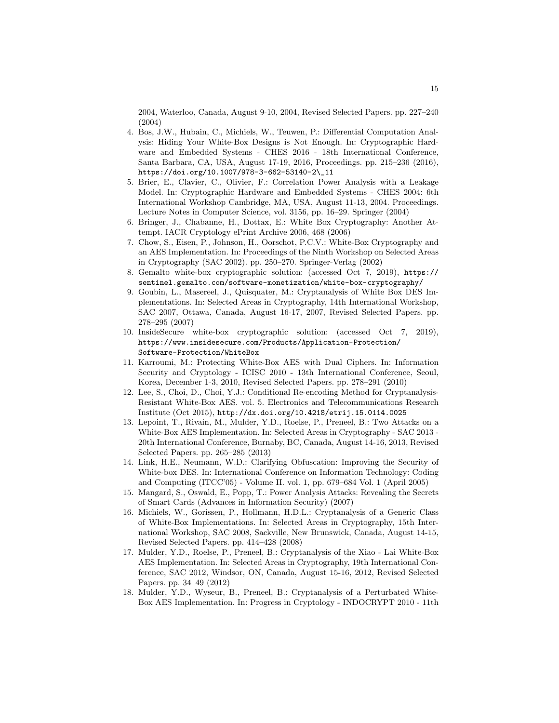2004, Waterloo, Canada, August 9-10, 2004, Revised Selected Papers. pp. 227–240 (2004)

- 4. Bos, J.W., Hubain, C., Michiels, W., Teuwen, P.: Differential Computation Analysis: Hiding Your White-Box Designs is Not Enough. In: Cryptographic Hardware and Embedded Systems - CHES 2016 - 18th International Conference, Santa Barbara, CA, USA, August 17-19, 2016, Proceedings. pp. 215–236 (2016), https://doi.org/10.1007/978-3-662-53140-2\\_11
- 5. Brier, E., Clavier, C., Olivier, F.: Correlation Power Analysis with a Leakage Model. In: Cryptographic Hardware and Embedded Systems - CHES 2004: 6th International Workshop Cambridge, MA, USA, August 11-13, 2004. Proceedings. Lecture Notes in Computer Science, vol. 3156, pp. 16–29. Springer (2004)
- 6. Bringer, J., Chabanne, H., Dottax, E.: White Box Cryptography: Another Attempt. IACR Cryptology ePrint Archive 2006, 468 (2006)
- 7. Chow, S., Eisen, P., Johnson, H., Oorschot, P.C.V.: White-Box Cryptography and an AES Implementation. In: Proceedings of the Ninth Workshop on Selected Areas in Cryptography (SAC 2002). pp. 250–270. Springer-Verlag (2002)
- 8. Gemalto white-box cryptographic solution: (accessed Oct 7, 2019), https:// sentinel.gemalto.com/software-monetization/white-box-cryptography/
- 9. Goubin, L., Masereel, J., Quisquater, M.: Cryptanalysis of White Box DES Implementations. In: Selected Areas in Cryptography, 14th International Workshop, SAC 2007, Ottawa, Canada, August 16-17, 2007, Revised Selected Papers. pp. 278–295 (2007)
- 10. InsideSecure white-box cryptographic solution: (accessed Oct 7, 2019), https://www.insidesecure.com/Products/Application-Protection/ Software-Protection/WhiteBox
- 11. Karroumi, M.: Protecting White-Box AES with Dual Ciphers. In: Information Security and Cryptology - ICISC 2010 - 13th International Conference, Seoul, Korea, December 1-3, 2010, Revised Selected Papers. pp. 278–291 (2010)
- 12. Lee, S., Choi, D., Choi, Y.J.: Conditional Re-encoding Method for Cryptanalysis-Resistant White-Box AES. vol. 5. Electronics and Telecommunications Research Institute (Oct 2015), http://dx.doi.org/10.4218/etrij.15.0114.0025
- 13. Lepoint, T., Rivain, M., Mulder, Y.D., Roelse, P., Preneel, B.: Two Attacks on a White-Box AES Implementation. In: Selected Areas in Cryptography - SAC 2013 - 20th International Conference, Burnaby, BC, Canada, August 14-16, 2013, Revised Selected Papers. pp. 265–285 (2013)
- 14. Link, H.E., Neumann, W.D.: Clarifying Obfuscation: Improving the Security of White-box DES. In: International Conference on Information Technology: Coding and Computing (ITCC'05) - Volume II. vol. 1, pp. 679–684 Vol. 1 (April 2005)
- 15. Mangard, S., Oswald, E., Popp, T.: Power Analysis Attacks: Revealing the Secrets of Smart Cards (Advances in Information Security) (2007)
- 16. Michiels, W., Gorissen, P., Hollmann, H.D.L.: Cryptanalysis of a Generic Class of White-Box Implementations. In: Selected Areas in Cryptography, 15th International Workshop, SAC 2008, Sackville, New Brunswick, Canada, August 14-15, Revised Selected Papers. pp. 414–428 (2008)
- 17. Mulder, Y.D., Roelse, P., Preneel, B.: Cryptanalysis of the Xiao Lai White-Box AES Implementation. In: Selected Areas in Cryptography, 19th International Conference, SAC 2012, Windsor, ON, Canada, August 15-16, 2012, Revised Selected Papers. pp. 34–49 (2012)
- 18. Mulder, Y.D., Wyseur, B., Preneel, B.: Cryptanalysis of a Perturbated White-Box AES Implementation. In: Progress in Cryptology - INDOCRYPT 2010 - 11th